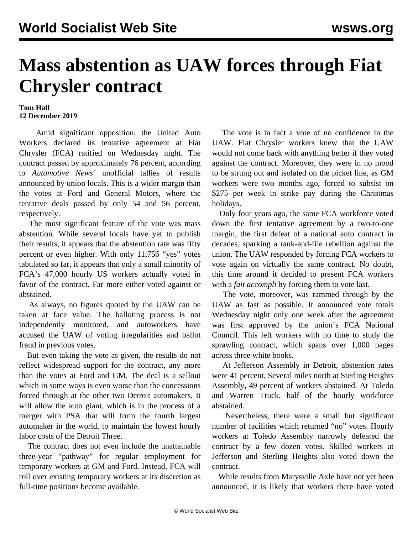## **Mass abstention as UAW forces through Fiat Chrysler contract**

## **Tom Hall 12 December 2019**

 Amid significant opposition, the United Auto Workers declared its tentative agreement at Fiat Chrysler (FCA) ratified on Wednesday night. The contract passed by approximately 76 percent, according to *Automotive News'* unofficial tallies of results announced by union locals. This is a wider margin than the votes at Ford and General Motors, where the tentative deals passed by only 54 and 56 percent, respectively.

 The most significant feature of the vote was mass abstention. While several locals have yet to publish their results, it appears that the abstention rate was fifty percent or even higher. With only 11,756 "yes" votes tabulated so far, it appears that only a small minority of FCA's 47,000 hourly US workers actually voted in favor of the contract. Far more either voted against or abstained.

 As always, no figures quoted by the UAW can be taken at face value. The balloting process is not independently monitored, and autoworkers have accused the UAW of voting irregularities and ballot fraud in previous votes.

 But even taking the vote as given, the results do not reflect widespread support for the contract, any more than the votes at Ford and GM. The deal is a sellout which in some ways is even worse than the concessions forced through at the other two Detroit automakers. It will allow the auto giant, which is in the process of a merger with PSA that will form the fourth largest automaker in the world, to maintain the lowest hourly labor costs of the Detroit Three.

 The contract does not even include the unattainable three-year "pathway" for regular employment for temporary workers at GM and Ford. Instead, FCA will roll over existing temporary workers at its discretion as full-time positions become available.

 The vote is in fact a vote of no confidence in the UAW. Fiat Chrysler workers knew that the UAW would not come back with anything better if they voted against the contract. Moreover, they were in no mood to be strung out and isolated on the picket line, as GM workers were two months ago, forced to subsist on \$275 per week in strike pay during the Christmas holidays.

 Only four years ago, the same FCA workforce voted down the first tentative agreement by a two-to-one margin, the first defeat of a national auto contract in decades, sparking a rank-and-file rebellion against the union. The UAW responded by forcing FCA workers to vote again on virtually the same contract. No doubt, this time around it decided to present FCA workers with a *fait accompli* by forcing them to vote last.

 The vote, moreover, was rammed through by the UAW as fast as possible. It announced vote totals Wednesday night only one week after the agreement was first approved by the union's FCA National Council. This left workers with no time to study the sprawling contract, which spans over 1,000 pages across three white books.

 At Jefferson Assembly in Detroit, abstention rates were 41 percent. Several miles north at Sterling Heights Assembly, 49 percent of workers abstained. At Toledo and Warren Truck, half of the hourly workforce abstained.

 Nevertheless, there were a small but significant number of facilities which returned "no" votes. Hourly workers at Toledo Assembly narrowly defeated the contract by a few dozen votes. Skilled workers at Jefferson and Sterling Heights also voted down the contract.

 While results from Marysville Axle have not yet been announced, it is likely that workers there have voted